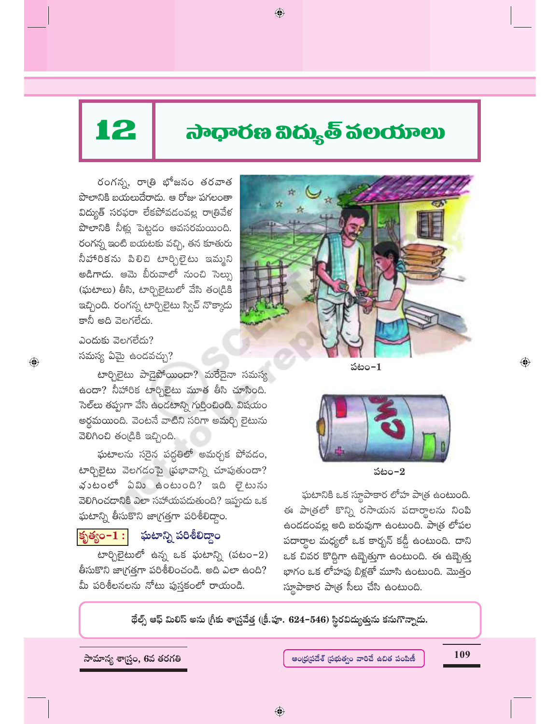# 45 !"#\$%&'()"\*+,-.(/01230+

 $\bigoplus$ 

రంగన్న, రాత్రి భోజనం తరవాత పొలానికి బయలుదేరాడు. ఆ రోజు పగలంతా విద్యుత్ సరఫరా లేకపోవడంవల్ల రాత్రివేళ పొలానికి నీళ్లు పెట్టడం ఆవసరమయింది. రంగన్న ఇంటి బయటకు వచ్చి, తన కూతురు నీహారికను పిలిచి టార్చిలైటు ఇమ్మని అడిగాడు. ఆమె బీరువాలో నుంచి సెల్సు  $(\mathrm{\tilde{\hat{w}}}$ టాలు) తీసి, టార్చిలైటులో వేసి తండ్రికి ఇచ్చింది. రంగన్న టార్చిలైటు స్విచ్ నొక్కాడు కానీ అది వెలగలేదు.



 $\omega$ ందుకు వెలగలేదు? సమస్య ఏమై ఉందవచ్చు?

 $\bigoplus$ 

టార్చిలైటు పాడైపోయిందా? మరేదైనా సమస్య ఉందా? నీహారిక టార్చిలైటు మూత తీసి చూసింది. సెల్లు తప్పుగా వేసి ఉండటాన్ని గుర్తించింది. విషయం అర్థమయింది. వెంటనే వాటిని సరిగా అమర్చి లైటును  $\bar{a}$ වීවී නිවාලයි.

ఘటాలను సరైన పద్ధతిలో అమర్చక పోవడం, \6d`5 g hX<( 2 m=# \$@ A"WF h( \*F G, -62)7&( t 1yF G0 1<"> భుటంలో ఏమి ఉంటుంది? ఇది లైటును వెలిగించడానికి ఎలా సహాయపడుతుంది? ఇప్పుడు ఒక ఘటాన్ని తీసుకొని జాగ్రత్తగా పరిశీలిద్దాం.

### <mark>కృత్యం– $\overline{1:}$  ఘటాన్ని పరిశీలిద్</mark>దాం

 $\delta$ టార్చిలైటులో ఉన్న ఒక ఘటాన్ని (పటం-2) తీసుకొని జాగ్రత్తగా పరిశీలించండి. అది ఎలా ఉంది? మీ పరిశీలనలను నోటు పుస్తకంలో రాయండి.



పటం–2

ఘటానికి ఒక స్థూపాకార లోహ పాత్ర ఉంటుంది. ఈ పాత్రలో కొన్ని రసాయన పదార్థాలను నింపి ఉండడంవల్ల అది బరువుగా ఉంటుంది. పాత్ర లోపల పదార్థాల మధ్యలో ఒక కార్బన్ కడ్డీ ఉంటుంది. దాని ఒక చివర కొద్దిగా ఉబ్బెత్తుగా ఉంటుంది. ఈ ఉబ్బెత్తు భాగం ఒక లోహపు బిళ్లతో మూసి ఉంటుంది. మొత్తం స్థూపాకార పాత్ర సీలు చేసి ఉంటుంది.

థేల్స్ ఆఫ్ మిలిస్ అను (గీకు శాస్ర్రవేత్త ((కీ.పూ. 624–546) స్థిరవిద్యుత్తును కనుగొన్నాడు.

 $\bigoplus$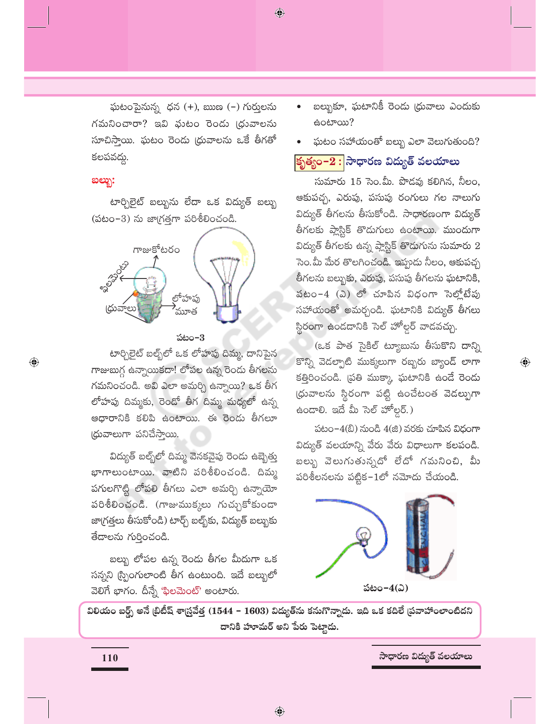$\bigcirc$ 

ఘటంపైనున్న ధన (+), ఋణ (–) గుర్తులను గమనించారా? ఇవి ఫుటం రెండు (ధువాలను సూచిస్తాయి. ఘటం రెండు (ధువాలను ఒకే తీగతో కలపవద్దు.

#### ಐಲ್ಬು:

 $\bigoplus$ 

టార్చిలైట్ బల్బును లేదా ఒక విద్యుత్ బల్బు  $($ పటం- $3)$  ను జాగ్రత్తగా పరిశీలించండి.



#### పటం– $3$

టార్చిలైట్ బల్బ్లేలో ఒక లోహపు దిమ్మ, దానిపైన గాజుబుగ్గ ఉన్నాయికదా! లోపల ఉన్న రెండు తీగలను గమనించండి. అవి ఎలా అమర్చి ఉన్నాయి? ఒక తీగ లోహపు దిమ్మకు, రెండో తీగ దిమ్మ మధ్యలో ఉన్న ఆధారానికి కలిపి ఉంటాయి. ఈ రెండు తీగలూ (ధువాలుగా పనిచేస్తాయి.

విద్యుత్ బల్బ్ల్లో దిమ్మ వెనకవైపు రెండు ఉబ్బెత్తు భాగాలుంటాయి. వాటిని పరిశీలించండి. దిమ్మ పగులగొట్టి లోపలి తీగలు ఎలా అమర్చి ఉన్నాయో పరిశీలించండి. (గాజుముక్కలు గుచ్చుకోకుండా జా(గత్తలు తీసుకోండి) టార్చ్ బల్బ్క్ విద్యుత్ బల్బుకు తేదాలను గుర్తించండి.

బల్బు లోపల ఉన్న రెండు తీగల మీదుగా ఒక సన్నని స్ప్రింగులాంటి తీగ ఉంటుంది. ఇదే బల్బులో వెలిగే భాగం. దీన్నే 'ఫిలమెంట్' అంటారు.

- బల్బుకూ, ఘటానికీ రెండు (ధువాలు ఎందుకు க்oல் ??
- ఘటం సహాయంతో బల్బు ఎలా వెలుగుతుంది?

### కృత్యం−2 : సాధారణ విద్యుత్ వలయాలు

సుమారు 15 సెం.మీ. పొడవు కలిగిన, నీలం, ఆకుపచ్చ, ఎరుపు, పసుపు రంగులు గల నాలుగు విద్యుత్ తీగలను తీసుకోండి. సాధారణంగా విద్యుత్ తీగలకు ప్లాస్టిక్ తొడుగులు ఉంటాయి. ముందుగా విద్యుత్ తీగలకు ఉన్న ప్లాస్టిక్ తొడుగును సుమారు  $2$ సెం.మీ మేర తొలగించండి. ఇప్పుడు నీలం, ఆకుపచ్చ తీగలను బల్బుకు, ఎరుపు, పసుపు తీగలను ఘటానికి, పటం–4 (ఎ) లో చూపిన విధంగా సెల్లోటేపు సహాయంతో అమర్చండి. ఘటానికి విద్యుత్ తీగలు స్థి<mark>రంగా ఉం</mark>డడానికి సెల్ హోల్డర్ వాడవచ్చు.

(ఒక పాత సైకిల్ ట్యూబును తీసుకొని దాన్ని కొన్ని వెడల్పాటి ముక్కలుగా రబ్బరు బ్యాండ్ లాగా కత్తిరించండి. (పతి ముక్కా ఘటానికి ఉండే రెండు (ధువాలను స్థిరంగా పట్టి ఉంచేటంత వెడ<mark>ల్పుగా</mark> ఉందాలి. ఇదే మీ సెల్ హోల్డర్.)

 $\bigoplus$ 

పటం- $4$ (బి) నుండి  $4$ (జి) వరకు చూపిన విధంగా విద్యుత్ వలయాన్ని వేరు వేరు విధాలుగా కలపండి. బల్బు వెలుగుతున్నదో లేదో గమనించి, మీ పరిశీలనలను పట్టిక $\mathord{\text{--}}1$ లో నమోదు చేయండి.



విలియం బర్ద్స్ అనే (బిటీష్ శాస్ర్రవేత్త (1544 – 1603) విద్యుత్ను కనుగొన్నాడు. ఇది ఒక కదిలే (పవాహాంలాంటిదని దానికి హూమర్ అని పేరు పెట్టాడు.

110

సాధారణ విద్యుత్ వలయాలు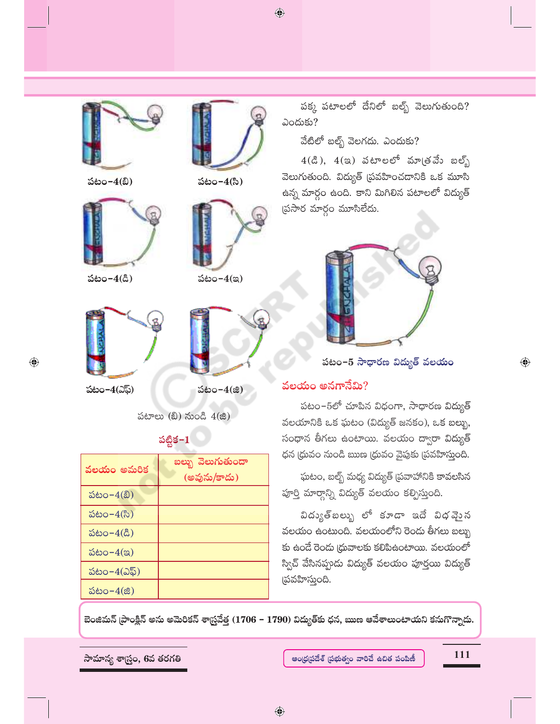$\bigoplus$ 



పటం-4(బి)



 $\text{is}$ టం– $4$ (డి) పటం– $4$ (ఇ)

 $\bigoplus$ 





పటం-4(సి)



పటాలు $(8)$  నుండి  $4(8)$ 

### $\frac{36}{25}$ క−1

| వలయం అమరిక              | బల్బు వెలుగుతుందా<br>(అవును/కాదు) |
|-------------------------|-----------------------------------|
| పటం $-4(3)$             |                                   |
| పటం− $4$ (సి)           |                                   |
| పటం− $4($ డి)           |                                   |
| పటం– $4$ (ఇ)            |                                   |
| పటం– $4(\Delta\bar{5})$ |                                   |
| పటం– $4$ (జి)           |                                   |

పక్క పటాలలో దేనిలో బల్బ్ వెలుగుతుంది?  $\partial$ ందుకు?

వేటిలో బల్బ్ వెలగదు. ఎందుకు?

 $4(\mathcal{E}), 4(\mathfrak{A})$  వటాలలో మాడువేు బల్బ్ వెలుగుతుంది. విద్యుత్ (పవహించడానికి ఒక మూసి ఉన్న మార్గం ఉంది. కాని మిగిలిన పటాలలో విద్యుత్ (పసార మార్గం మూసిలేదు.



పటం–5 సాధారణ విద్యుత్ వలయం

### వలయం అన**గానేమి**?

 $\omega$ సుం $-5$ లో చూపిన విధంగా, సాధారణ విద్యుత్ వలయానికి ఒక ఘటం (విద్యుత్ జనకం), ఒక బల్బు, సంధాన తీగలు ఉంటాయి. వలయం ద్వారా విద్యుత్ ధన (ధువం నుండి ఋణ (ధువం వైపుకు (పవహిస్తుంది.

ఘటం, బల్బ్ మధ్య విద్యుత్ (పవాహానికి కావలసిన పూర్తి మార్గాన్ని విద్యుత్ వలయం కల్పిస్తుంది.

విద్యుత్బల్బు లో కూడా ఇదే విధవైన వలయం ఉంటుంది. వలయంలోని రెండు తీగలు బల్బు కు ఉందే రెండు (ధువాలకు కలిపిఉంటాయి. వలయంలో స్విచ్ వేసినప్పుడు విద్యుత్ వలయం పూర్తయి విద్యుత్ (పవహిస్తుంది.

బెంజిమన్ (ఫాంక్లిన్ అను అమెరికన్ శాస్ర్రవేత్త (1706 – 1790) విద్యుత్**కు ధన, ఋణ ఆవేశాలుంటాయని కనుగొన్నా**దు.

 $\bigoplus$ 

 $\bigoplus$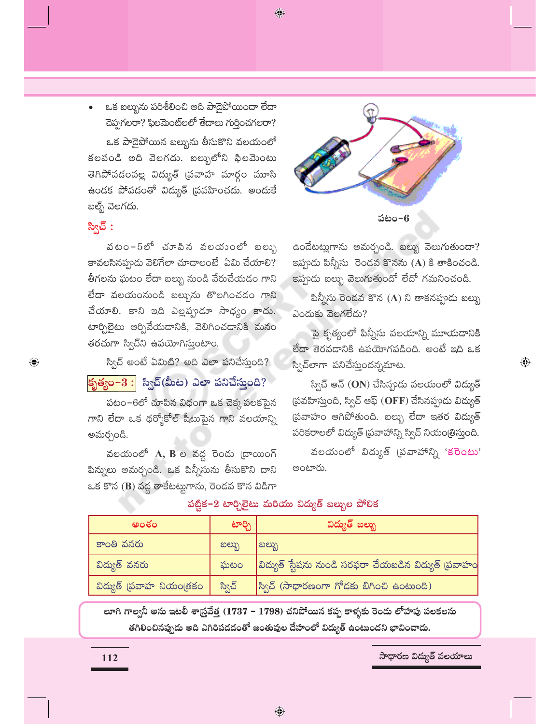$\bigcirc$ 

ఒక బల్బును పరిశీలించి అది పాడైపోయిందా లేదా చెప్పగలరా? ఫిలమెంట్లలో తేదాలు గుర్తించగలరా? ఒక పాడైపోయిన బల్బును తీసుకొని వలయంలో కలపండి అది వెలగదు. బల్బులోని ఫిలమెంటు తెగిపోవడంవల్ల విద్యుత్ (పవాహ మార్గం మూసి ఉందక పోవడంతో విద్యుత్ <mark>(పవహించదు. అందుకే</mark> బల్బ్ వెలగదు.

## స్విచ్ :

 $\bigoplus$ 

వటం−5లో చూపిన వలయంలో బలుృ కావలసినప్పుడు వెలిగేలా చూడాలంటే ఏమి చేయాలి? తీగలను ఘటం లేదా బల్బు నుండి వేరుచేయడం గాని లేదా వలయంనుండి బల్బును తొలగించడం గాని చేయాలి. కాని ఇది ఎల్లప్పుడూ సాధ్యం కాదు. టార్చిలైటు ఆర్పివేయడానికి, వెలిగించడానికి మనం తరచుగా స్విచ్ని ఉపయోగిస్తుంటాం.

స్విచ్ అంటే ఏమిటి? అది ఎలా పనిచేస్తుంది? <mark>కృత్యం–3 :</mark> స్విచ్(మీట) ఎలా పనిచేసుంది?

పటం–6లో చూపిన విధంగా ఒక చెక్క పలకపైన గాని లేదా ఒక థర్మోకోల్ షీటుపైన గాని వలయాన్ని అమర్చండి.

వలయంలో A, B ల వద్ద రెండు (డాయింగ్ పిన్నులు అమర్చండి. ఒక పిన్నీసును తీసుకొని దాని ఒక కొన (B) వద్ద తాకేటట్లుగాను, రెండవ కొన విడిగా





ఉండేటట్లుగాను అమర్చండి. బల్బు వెలుగుతుందా? ఇప్పుడు పిన్నీసు రెండవ కొనను (A) కి తాకించండి. ఇప్పుడు బల్బు వెలుగుతుందో లేదో గమనించండి.

పిన్నీసు రెండవ కొన (A) ని తాకనప్పుడు బల్బు ఎందుకు వెలగలేదు?

పై కృత్యంలో పిన్నీసు వలయాన్ని మూయదానికి లేదా తెరవదానికి ఉపయోగపడింది. అంటే ఇది ఒక స్విచ్అాగా పనిచేస్తుందన్నమాట.

 $\textcolor{black}{\textcolor{black}{\bigoplus}}$ 

స్విచ్ ఆన్ (ON) చేసిన్పుడు వలయంలో విద్యుత్ (పవహిస్తుంది, స్విచ్ ఆఫ్ (OFF) చేసినప్పుడు విద్యుత్ (పవాహం ఆగిపోతుంది. బల్బు లేదా ఇతర విద్యుత్ పరికరాలలో విద్యుత్ (పవాహాన్ని స్విచ్ నియం(తిస్తుంది.

వలయంలో విద్యుత్ (పవాహాన్ని 'కరెంటు' అంటారు.

| అంశం                    | టార్చి | విద్యుత్ బల్బు                                               |
|-------------------------|--------|--------------------------------------------------------------|
| కాంతి వనరు              | ಐಲ್ಬು  | ಐಲ್ಬು                                                        |
| విద్యుత్ వనరు           | ఘటం    | $ $ విద్యుత్ స్టేషను నుండి సరఫరా చేయబడిన విద్యుత్ (పవాహం $ $ |
| విద్యుత్ (పవాహ నియం(తకం | స్విచ్ | $\beta$ ్వచ్ (సాధారణంగా గోదకు బిగించి ఉంటుంది)               |

### పట్టిక-2 టార్చిలైటు మరియు విద్యుత్ బల్బుల పోలిక

లూగి గాల్వనీ అను ఇటలీ శాస్ర్రవేత్త (1737 – 1798) చనిపోయిన కప్ప కాళ్ళకు రెండు లోహపు పలకలను తగిలించినప్పుడు అది ఎగిరిపడడంతో జంతువుల దేహంలో విద్యుత్ ఉంటుందని భావించాడు.

సాధారణ విద్యుత్ వలయాలు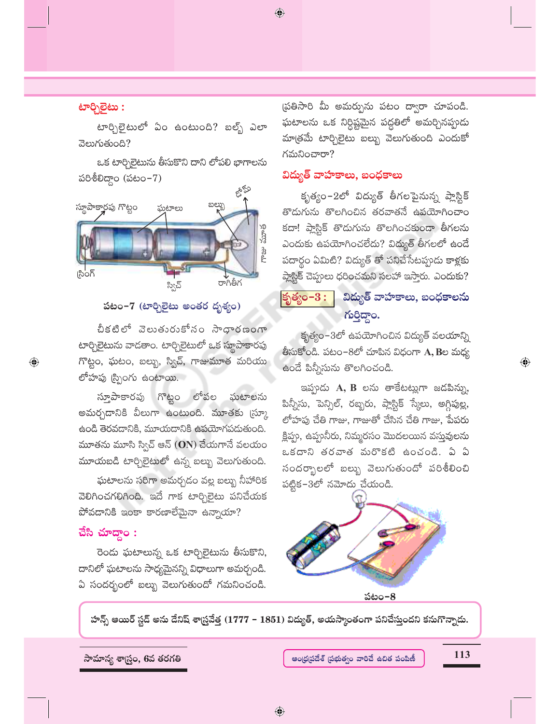$\bigoplus$ 

### **பூல் :**

టార్చిలైటులో ఏం ఉంటుంది? బల్బ్ ఎలా వెలుగుతుంది?

ఒక టార్చిలైటును తీసుకొని దాని లోపలి భాగాలను పరిశీలిద్దాం (పటం $-7$ )



### పటం–7 (టార్చిలైటు అంతర దృశ్యం)

చీకటిలో వెలుతురుకోసం సాధారణంగా టార్చిలైటును వాడతాం. టార్చిలైటులో ఒక స్థూపాకారపు గొట్టం, ఘటం, బల్బు, స్విచ్, గాజుమూత మరియు లోహపు (స్పింగు ఉంటాయి.

గొట్టం లోపల స్తూపాకారపు ఘటాలను అమర్చడానికి వీలుగా ఉంటుంది. మూతకు (స్కూ ఉండి తెరవడానికి, మూయడానికి ఉపయోగపడుతుంది. మూతను మూసి స్విచ్ ఆన్  $(\mathbf{ON})$  చేయగానే వలయం మూయబడి టార్చిలైటులో ఉన్న బల్బు వెలుగుతుంది.

ఘటాలను సరిగా అమర్చడం వల్ల బల్బు నీహారిక వెలిగించగలిగింది. ఇదే గాక టార్చిలైటు పనిచేయక పోవడానికి ఇంకా కారణాలేమైనా ఉన్నాయా?

### చేసి $\mathbf x$ చాద్దాం:

 $\bigoplus$ 

రెండు ఘటాలున్న ఒక టార్చిలైటును తీసుకొని, దానిలో ఘటాలను సాధ్యమైనన్ని విధాలుగా అమర్చండి. ఏ సందర్భంలో బల్బు వెలుగుతుందో గమనించండి.

(పతిసారి మీ అమర్పును పటం ద్వారా చూపండి. ఘటాలను ఒక నిర్ధిష్టమైన పద్ధతిలో అమర్చినప్పుడు మాత్రమే టార్చిలైటు బల్బు వెలుగుతుంది ఎందుకో గమనించారా?

### విద్యుత్ వాహకాలు, బంధకాలు

కృత్యం–2లో విద్యుత్ తీగలపైనున్న ప్లాస్టిక్ తొడుగును తొలగించిన తరవాతనే ఉపయోగించాం కదా! ప్లాస్టిక్ తొడుగును తొలగించకుండా తీగలను ఎందుకు ఉపయోగించలేదు? విద్యుత్ తీగలలో ఉందే పదార్థం ఏమిటి? విద్యుత్ తో పనిచేసేటప్పుడు కాళ్లకు ప్లాస్టిక్ చెప్పులు ధరించమని సలహా ఇస్తారు. ఎందుకు?

#### విద్యుత్ వాహకాలు, బంధకాలను కృత్యం $-3$  : ಗುರಿದ್ದಾಂ.

కృత్యం–3లో ఉపయోగించిన విద్యుత్ వలయాన్ని తీసుకోండి. పటం-8లో చూపిన విధంగా A, Bల మధ్య ఉండే పిన్నీసును తొలగించండి.

ఇప్పందు A, B లను తాకేటట్లుగా జడపిన్ను, పిన్నీసు, పెన్సిల్, రబ్బరు, ప్లాస్టిక్ స్కేలు, అగ్గిపుల్ల, లోహపు చేతి గాజు, గాజుతో చేసిన చేతి గాజు, పేపరు క్లిప్పు, ఉప్పునీరు, నిమ్మరసం మొదలయిన వస్తువులను ఒకదాని తరవాత మరొకటి ఉంచండి. ఏ ఏ సందర్భాలలో బల్బు వెలుగుతుందో పరిశీలించి  $\frac{1}{2}$ పట్టిక-3లో నమోదు చేయండి.



పటం–8

హాన్స్ ఆయిర్ స్టడ్ అను దేనిష్ శాస్ర్రవేత్త (1777 – 1851) విద్యుత్, అయస్కాంతంగా పనిచేస్తుందని కనుగొన్నాడు.



#### ఆంధ్రప్రదేశ్ (పభుత్వం వారిచే ఉచిత పంపిణీ

113

 $\textcolor{black}{\textcolor{black}{\bigoplus}}$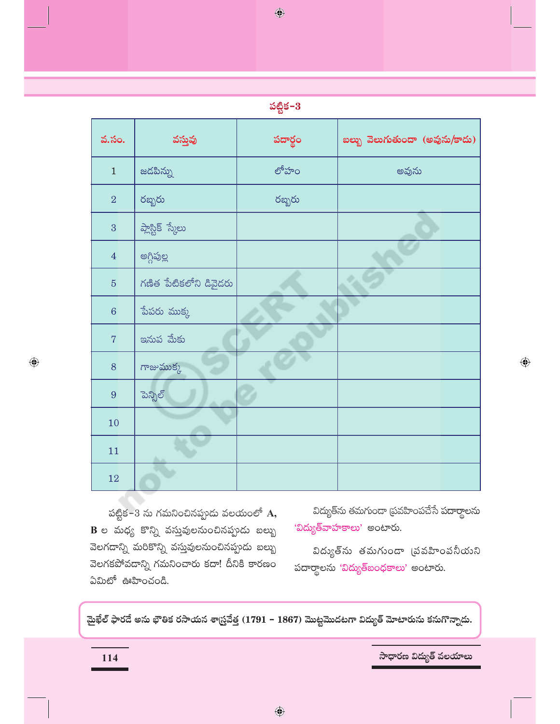$\bigcirc$ 

| వ.సం.           | వస్తువు                | పదార్థం | బల్బు వెలుగుతుందా (అవును/కాదు) |
|-----------------|------------------------|---------|--------------------------------|
| $\mathbf{1}$    | జడపిన్ను               | లోహం    | అవును                          |
| $\overline{2}$  | రబ్బరు                 | రబ్బరు  |                                |
| 3               | ప్లాస్టిక్ స్మేలు      |         |                                |
| $\overline{4}$  | అగ్గిపుల్ల             |         |                                |
| $\overline{5}$  | గణిత పేటికలోని డివైదరు |         |                                |
| $6\phantom{1}6$ | పేపరు ముక్క            |         |                                |
| $\overline{7}$  | ఇనుప మేకు              |         |                                |
| 8               | గాజుముక్క              |         |                                |
| 9               | పెన్సిల్               |         |                                |
| 10              |                        |         |                                |
| 11              |                        |         |                                |
| 12              |                        |         |                                |

పట్టిక-3 ను గమనించినప్పుడు వలయంలో  $\mathbf A,$  $\, {\bf B} \,$ ల మధ్య కొన్ని వస్తువులనుంచినప్పుడు బల్బు వెలగడాన్ని మరికొన్ని వస్తువులనుంచినప్పుడు బల్బు వెలగకపోవడాన్ని గమనించారు కదా! దీనికి కారణం ఏమిటో ఊహించండి.

విద్యుత్ను తమగుండా ప్రవహింపచేసే పదార్థాలను 'విద్యుత్వాహకాలు' అంటారు.

విద్యుత్సు తమగుండా (పవహింపనీయని పదార్థాలను 'విద్యుత్<sub>బంధకాలు' అంటారు.</sub>

మైఖేల్ ఫారదే అను భౌతిక రసాయన శాస్ర్రవేత్త (1791 – 1867) మొట్టమొదటగా విద్యుత్ మోటారును కనుగొన్నాదు.

114

 $\bigoplus$ 

సాధారణ విద్యుత్ వలయాలు

 $\bigoplus$ 

 $\bigcirc$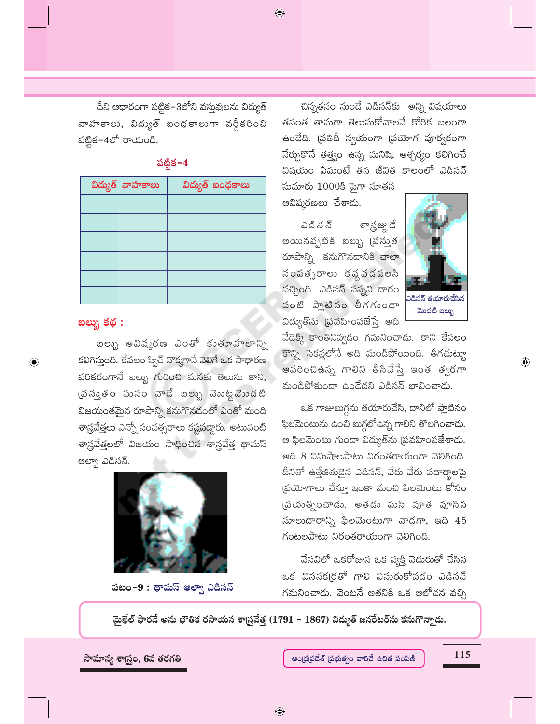దీని ఆధారంగా పట్టిక–3లోని వస్తువులను విద్యుత్ వాహకాలు, విద్యుత్ బంధకాలుగా వర్గీకరించి పట్టిక–4లో రాయండి.

| విద్యుత్ వాహకాలు | విద్యుత్ బంధకాలు |
|------------------|------------------|
|                  |                  |
|                  |                  |
|                  |                  |
|                  |                  |
|                  |                  |
|                  |                  |

### పట్టిక $-4$

### బల్బు కథ :

 $\bigoplus$ 

బల్బు ఆవిష్కరణ ఎంతో కుతూహలాన్ని కలిగిస్తుంది. కేవలం స్విచ్ నొక్కగానే వెలిగే ఒక సాధారణ పరికరంగానే బల్బు గురించి మనకు తెలుసు కాని, (వస్తుతం మనం వాడే బల్బు వెబట్టమొదటి విజయంతమైన రూపాన్ని కనుగొనడంలో ఎంతో మంది శాస్త్రవేత్తలు ఎన్నో సంవత్సరాలు కష్టపద్దారు. అటువంటి శాస్త్రవేత్తలలో విజయం సాధించిన శాస్త్రవేత్త థామస్ ఆల్వా ఎడిసన్.



పటం-9: థామస్ ఆల్వా ఎడిసన్

చిన్నతనం నుండే ఎడిసన్కు అన్ని విషయాలు తనంత తానుగా తెలుసుకోవాలనే కోరిక బలంగా ఉండేది. (పతిదీ స్వయంగా (పయోగ పూర్వకంగా నేర్చుకొనే తత్త్వం ఉన్న మనిషి, ఆశ్చర్యం కలిగించే విషయం ఏమంటే తన జీవిత కాలంలో ఎడిసన్

సుమారు 1000కి పైగా నూతన అవిష్కరణలు చేశాడు.

 $\bigoplus$ 

ఎడి న న్ శాస్త్రజ్ఞు దే అయినప్పటికి బల్బు (పస్తుత రూపాన్ని కనుగొనడానికి చాలా సంవత్సరాలు కష్టపడవలసి వచ్చింది. ఎడిసన్ సన్నని దారం వంటి ప్లాటినం తీగగుండా విద్యుత్సు (పవహింపజేస్తే అది



 $\bigoplus$ 

వేడెక్కి కాంతినివ్వడం గమనించాడు. కాని కేవలం కొన్ని సెకన్లలోనే అది మండిపోయింది. తీగచుట్టూ ఆవరించిఉన్న గాలిని తీసివేస్తే ఇంత త్వరగా మండిపోకుండా ఉండేదని ఎడిసన్ భావించాడు.

ఒక గాజుబుగ్గను తయారుచేసి, దానిలో ప్లాటినం ఫిలమెంటును ఉంచి బుగ్గలోఉన్న గాలిని తొలగించా<mark>డు.</mark> ఆ ఫిలమెంటు గుండా విద్యుత్సు (పవహింపజేశాడు. అది 8 నిమిషాలపాటు నిరంతరాయంగా వెలిగింది. దీనితో ఉత్తేజితుడైన ఎడిసన్, వేరు వేరు పదార్థాలపై ప్రయోగాలు చేస్తూ ఇంకా మంచి ఫిలమెంటు కోసం (పయత్నించాడు. అతడు మసి పూత పూసిన నూలుదారాన్ని ఫిలమెంటుగా వాడగా, ఇది  $45$ గంటలపాటు నిరంతరాయంగా వెలిగింది.

వేసవిలో ఒకరోజున ఒక వ్యక్తి వెదురుతో చేసిన ఒక విసనక(రతో గాలి విసురుకోవడం ఎడిసన్ గమనించాడు. వెంటనే అతనికి ఒక ఆలోచన వచ్చి

మైఖేల్ ఫారడే అను భౌతిక రసాయన శాస్ర్రవేత్త (1791 – 1867) విద్యుత్ జనరేటర్ను కనుగొన్నాడు.

సామాన్య శాస్ర్టం, 6వ తరగతి

115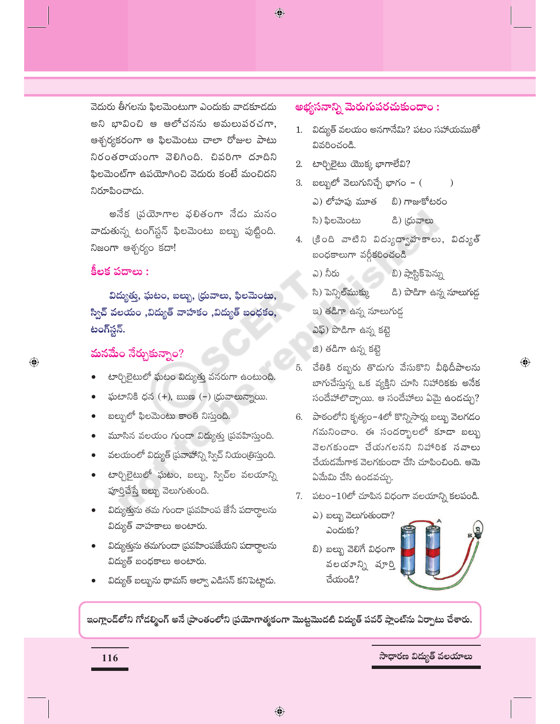$\bigoplus$ 

వెదురు తీగలను ఫిలమెంటుగా ఎందుకు వాడకూడదు అని భావించి ఆ ఆలోచనను అమలుపరచగా, ఆశ్చర్యకరంగా ఆ ఫిలమెంటు చాలా రోజుల పాటు నిరంతరాయంగా వెలిగింది. చివరిగా దూదిని ఫిలమెంట్గా ఉపయోగించి వెదురు కంటే మంచిదని నిరూపించాడు.

అనేక (పయోగాల ఫలితంగా నేడు మనం వాడుతున్న టంగ్స్టేన్ ఫిలమెంటు బల్బు పుట్టింది. నిజంగా ఆశ్చర్యం కదా!

### కీలక పదాలు :

 $\bigoplus$ 

విద్యుత్తు, ఘటం, బల్బు, (ధువాలు, ఫిలమెంటు, స్విచ్ వలయం ,విద్యుత్ వాహకం ,విద్యుత్ బంధకం, టంగ్5్టన్.

## మనమేం నేర్చుకున్నాం $\overline{?}$

- టార్చిలైటులో ఘటం విద్యుత్తు వనరుగా ఉంటుంది.
- ఘటానికి ధన (+), ఋణ (-) (ధువాలున్నాయి.
- బల్బులో ఫిలమెంటు కాంతి నిస్తుంది.
- మూసిన వలయం గుండా విద్యుత్తు (పవహిస్తుంది.
- వలయంలో విద్యుత్ (పవాహాన్ని స్విచ్ నియం(తిస్తుంది.
- టార్చిలైటులో ఘటం, బల్బు, స్విచ్ల వలయాన్ని పూర్తిచేస్తే బల్బు వెలుగుతుంది.
- విద్యుత్తును తమ గుండా (పవహింప జేసే పదార్థాలను విద్యుత్ వాహకాలు అంటారు.
- విద్యుత్తును తమగుండా (పవహింపజేయని పదార్థాలను విద్యుత్ బంధకాలు అంటారు.
- విద్యుత్ బల్బును థామస్ ఆల్వా ఎడిసన్ కనిపెట్టాడు.

### అభ్యసనాన్ని మెరుగుపరచుకుందాం :

- 1. విద్యుత్ వలయం అనగానేమి? పటం సహాయముతో వివరించండి.
- 2. టార్చిలైటు యొక్క భాగాలేవి?
- బల్బులో వెలుగునిచ్చే భాగం ( 3.  $\lambda$ ఎ) లోహపు మూత బి) గాజుకోటరం
	- సి) ఫిలమెంటు డి) (ధువాలు
- (కింది వాటిని విద్యుద్వాహకాలు, విద్యుత్ 4. బంధకాలుగా వర్గీకరించండి
	- బి) ప్లాస్టిక్ పెన్ను ఎ) నీరు
	- సి) పెన్సిల్ ముక్కు డి) పొడిగా ఉన్న నూలుగుడ్డ
	- ఇ) తడిగా ఉన్న నూలుగుడ్డ
	- ఎఫ్) పొడిగా ఉన్న కట్టె
	- జి) తడిగా ఉన్న కట్టె
- 5. చేతికి రబ్బరు తొడుగు వేసుకొని వీథిదీపాలను బాగుచేస్తున్న ఒక వ్యక్తిని చూసి నిహారికకు అనేక సందేహాలొచ్చాయి. ఆ సందేహాలు ఏమై ఉండచ్చు?

 $\bigoplus$ 

- 6. పాఠంలోని కృత్యం–4లో కొన్నిసార్లు బల్బు వెలగడం గమనించాం. ఈ సందర్భాలలో కూడా బల్బు వెలగకుండా చేయగలనని నిహారిక సవాలు చేయడమేగాక వెలగకుండా చేసి చూపించింది. ఆమె ఏమేమి చేసి ఉండవచ్చు.
- 7. పటం- $10$ లో చూపిన విధంగా వలయాన్ని కలపండి.
	- ఎ) బల్బు వెలుగుతుందా? ఎందుకు?
	- బి) బల్బు వెలిగే విధంగా వలయాన్ని పూర్తి చేయండి?

ఇంగ్లాండ్లోని గోడర్మింగ్ అనే [పాంతంలోని [పయోగాత్మకంగా మొట్టమొదటి విద్యుత్ పవర్ ప్లాంట్ను ఏర్పాటు చేశారు.

సాధారణ విద్యుత్ వలయాలు